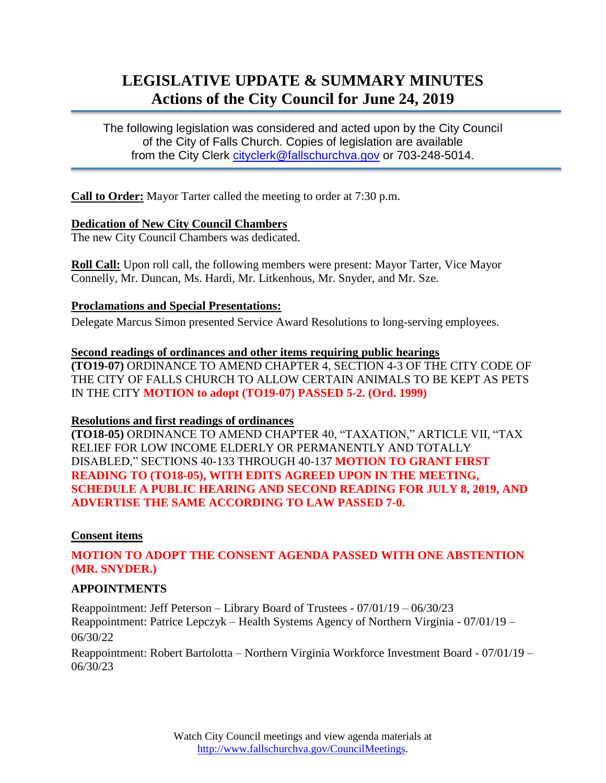# **LEGISLATIVE UPDATE & SUMMARY MINUTES Actions of the City Council for June 24, 2019**

The following legislation was considered and acted upon by the City Council of the City of Falls Church. Copies of legislation are available from the City Clerk [cityclerk@fallschurchva.gov](mailto:cityclerk@fallschurchva.gov) or 703-248-5014.

**Call to Order:** Mayor Tarter called the meeting to order at 7:30 p.m.

#### **Dedication of New City Council Chambers**

The new City Council Chambers was dedicated.

**Roll Call:** Upon roll call, the following members were present: Mayor Tarter, Vice Mayor Connelly, Mr. Duncan, Ms. Hardi, Mr. Litkenhous, Mr. Snyder, and Mr. Sze.

## **Proclamations and Special Presentations:**

Delegate Marcus Simon presented Service Award Resolutions to long-serving employees.

## **Second readings of ordinances and other items requiring public hearings**

**(TO19-07)** ORDINANCE TO AMEND CHAPTER 4, SECTION 4-3 OF THE CITY CODE OF THE CITY OF FALLS CHURCH TO ALLOW CERTAIN ANIMALS TO BE KEPT AS PETS IN THE CITY **MOTION to adopt (TO19-07) PASSED 5-2. (Ord. 1999)**

#### **Resolutions and first readings of ordinances**

**(TO18-05)** ORDINANCE TO AMEND CHAPTER 40, "TAXATION," ARTICLE VII, "TAX RELIEF FOR LOW INCOME ELDERLY OR PERMANENTLY AND TOTALLY DISABLED," SECTIONS 40-133 THROUGH 40-137 **MOTION TO GRANT FIRST READING TO (TO18-05), WITH EDITS AGREED UPON IN THE MEETING, SCHEDULE A PUBLIC HEARING AND SECOND READING FOR JULY 8, 2019, AND ADVERTISE THE SAME ACCORDING TO LAW PASSED 7-0.**

## **Consent items**

## **MOTION TO ADOPT THE CONSENT AGENDA PASSED WITH ONE ABSTENTION (MR. SNYDER.)**

## **APPOINTMENTS**

Reappointment: Jeff Peterson – Library Board of Trustees - 07/01/19 – 06/30/23 Reappointment: Patrice Lepczyk – Health Systems Agency of Northern Virginia - 07/01/19 – 06/30/22

Reappointment: Robert Bartolotta – Northern Virginia Workforce Investment Board - 07/01/19 – 06/30/23